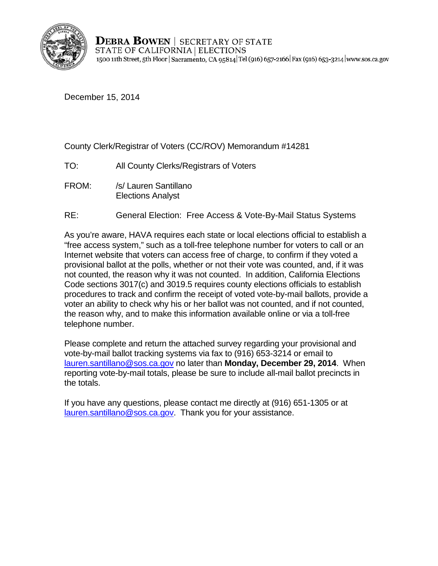

**DEBRA BOWEN** | SECRETARY OF STATE STATE OF CALIFORNIA | ELECTIONS 1500 11th Street, 5th Floor | Sacramento, CA 95814 Tel (916) 657-2166 | Fax (916) 653-3214 | www.sos.ca.gov

December 15, 2014

County Clerk/Registrar of Voters (CC/ROV) Memorandum #14281

- TO: All County Clerks/Registrars of Voters
- FROM: /s/ Lauren Santillano Elections Analyst
- RE: General Election: Free Access & Vote-By-Mail Status Systems

As you're aware, HAVA requires each state or local elections official to establish a "free access system," such as a toll-free telephone number for voters to call or an Internet website that voters can access free of charge, to confirm if they voted a provisional ballot at the polls, whether or not their vote was counted, and, if it was not counted, the reason why it was not counted. In addition, California Elections Code sections 3017(c) and 3019.5 requires county elections officials to establish procedures to track and confirm the receipt of voted vote-by-mail ballots, provide a voter an ability to check why his or her ballot was not counted, and if not counted, the reason why, and to make this information available online or via a toll-free telephone number.

Please complete and return the attached survey regarding your provisional and vote-by-mail ballot tracking systems via fax to (916) 653-3214 or email to [lauren.santillano@sos.ca.gov](mailto:lauren.santillano@sos.ca.gov) no later than **Monday, December 29, 2014**. When reporting vote-by-mail totals, please be sure to include all-mail ballot precincts in the totals.

If you have any questions, please contact me directly at (916) 651-1305 or at [lauren.santillano@sos.ca.gov.](mailto:lauren.santillano@sos.ca.gov) Thank you for your assistance.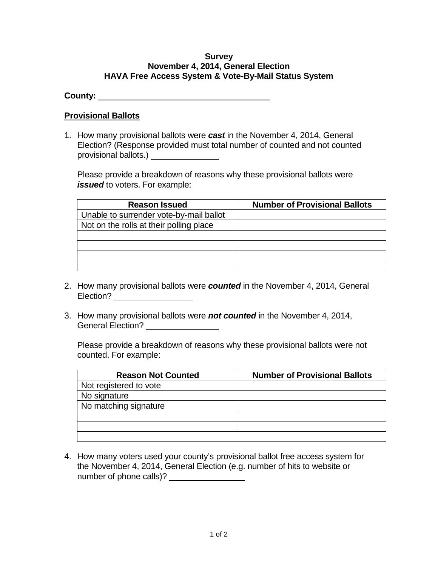## **Survey November 4, 2014, General Election HAVA Free Access System & Vote-By-Mail Status System**

**County:** 

## **Provisional Ballots**

1. How many provisional ballots were *cast* in the November 4, 2014, General Election? (Response provided must total number of counted and not counted provisional ballots.)

Please provide a breakdown of reasons why these provisional ballots were *issued* to voters. For example:

| <b>Reason Issued</b>                    | <b>Number of Provisional Ballots</b> |
|-----------------------------------------|--------------------------------------|
| Unable to surrender vote-by-mail ballot |                                      |
| Not on the rolls at their polling place |                                      |
|                                         |                                      |
|                                         |                                      |
|                                         |                                      |
|                                         |                                      |

- 2. How many provisional ballots were *counted* in the November 4, 2014, General Election? \_\_\_\_\_\_\_\_\_\_\_\_\_\_\_\_\_\_\_\_
- 3. How many provisional ballots were *not counted* in the November 4, 2014, General Election?

Please provide a breakdown of reasons why these provisional ballots were not counted. For example:

| <b>Reason Not Counted</b> | <b>Number of Provisional Ballots</b> |
|---------------------------|--------------------------------------|
| Not registered to vote    |                                      |
| No signature              |                                      |
| No matching signature     |                                      |
|                           |                                      |
|                           |                                      |
|                           |                                      |

4. How many voters used your county's provisional ballot free access system for the November 4, 2014, General Election (e.g. number of hits to website or number of phone calls)?